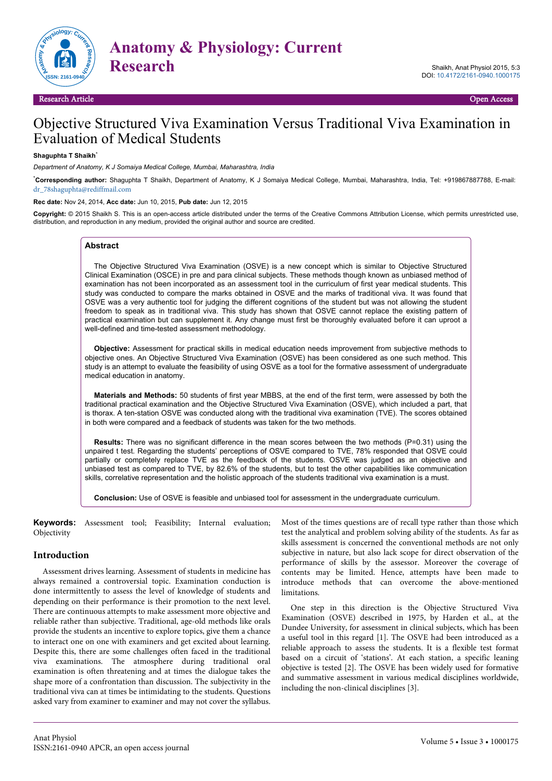

Research Article Open Access

# Objective Structured Viva Examination Versus Traditional Viva Examination in Evaluation of Medical Students

# **Shaguphta T Shaikh**\*

*Department of Anatomy, K J Somaiya Medical College, Mumbai, Maharashtra, India*

\***Corresponding author:** Shaguphta T Shaikh, Department of Anatomy, K J Somaiya Medical College, Mumbai, Maharashtra, India, Tel: +919867887788, E-mail: [dr\\_78shaguphta@rediffmail.com](mailto:dr_78shaguphta@rediffmail.com)

**Rec date:** Nov 24, 2014, **Acc date:** Jun 10, 2015, **Pub date:** Jun 12, 2015

**Copyright:** © 2015 Shaikh S. This is an open-access article distributed under the terms of the Creative Commons Attribution License, which permits unrestricted use, distribution, and reproduction in any medium, provided the original author and source are credited.

### **Abstract**

The Objective Structured Viva Examination (OSVE) is a new concept which is similar to Objective Structured Clinical Examination (OSCE) in pre and para clinical subjects. These methods though known as unbiased method of examination has not been incorporated as an assessment tool in the curriculum of first year medical students. This study was conducted to compare the marks obtained in OSVE and the marks of traditional viva. It was found that OSVE was a very authentic tool for judging the different cognitions of the student but was not allowing the student freedom to speak as in traditional viva. This study has shown that OSVE cannot replace the existing pattern of practical examination but can supplement it. Any change must first be thoroughly evaluated before it can uproot a well-defined and time-tested assessment methodology.

**Objective:** Assessment for practical skills in medical education needs improvement from subjective methods to objective ones. An Objective Structured Viva Examination (OSVE) has been considered as one such method. This study is an attempt to evaluate the feasibility of using OSVE as a tool for the formative assessment of undergraduate medical education in anatomy.

**Materials and Methods:** 50 students of first year MBBS, at the end of the first term, were assessed by both the traditional practical examination and the Objective Structured Viva Examination (OSVE), which included a part, that is thorax. A ten-station OSVE was conducted along with the traditional viva examination (TVE). The scores obtained in both were compared and a feedback of students was taken for the two methods.

**Results:** There was no significant difference in the mean scores between the two methods (P=0.31) using the unpaired t test. Regarding the students' perceptions of OSVE compared to TVE, 78% responded that OSVE could partially or completely replace TVE as the feedback of the students. OSVE was judged as an objective and unbiased test as compared to TVE, by 82.6% of the students, but to test the other capabilities like communication skills, correlative representation and the holistic approach of the students traditional viva examination is a must.

**Conclusion:** Use of OSVE is feasible and unbiased tool for assessment in the undergraduate curriculum.

**Keywords:** Assessment tool; Feasibility; Internal evaluation; Objectivity

### **Introduction**

Assessment drives learning. Assessment of students in medicine has always remained a controversial topic. Examination conduction is done intermittently to assess the level of knowledge of students and depending on their performance is their promotion to the next level. There are continuous attempts to make assessment more objective and reliable rather than subjective. Traditional, age-old methods like orals provide the students an incentive to explore topics, give them a chance to interact one on one with examiners and get excited about learning. Despite this, there are some challenges often faced in the traditional viva examinations. The atmosphere during traditional oral examination is often threatening and at times the dialogue takes the shape more of a confrontation than discussion. The subjectivity in the traditional viva can at times be intimidating to the students. Questions asked vary from examiner to examiner and may not cover the syllabus.

Most of the times questions are of recall type rather than those which test the analytical and problem solving ability of the students. As far as skills assessment is concerned the conventional methods are not only subjective in nature, but also lack scope for direct observation of the performance of skills by the assessor. Moreover the coverage of contents may be limited. Hence, attempts have been made to introduce methods that can overcome the above-mentioned limitations.

One step in this direction is the Objective Structured Viva Examination (OSVE) described in 1975, by Harden et al., at the Dundee University, for assessment in clinical subjects, which has been a useful tool in this regard [1]. The OSVE had been introduced as a reliable approach to assess the students. It is a flexible test format based on a circuit of 'stations'. At each station, a specific leaning objective is tested [2]. The OSVE has been widely used for formative and summative assessment in various medical disciplines worldwide, including the non-clinical disciplines [3].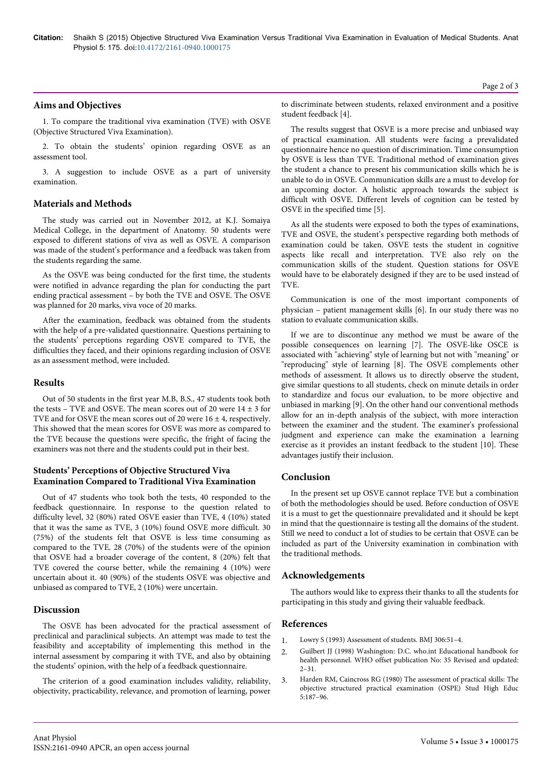## **Aims and Objectives**

1. To compare the traditional viva examination (TVE) with OSVE (Objective Structured Viva Examination).

2. To obtain the students' opinion regarding OSVE as an assessment tool.

3. A suggestion to include OSVE as a part of university examination.

## **Materials and Methods**

The study was carried out in November 2012, at K.J. Somaiya Medical College, in the department of Anatomy. 50 students were exposed to different stations of viva as well as OSVE. A comparison was made of the student's performance and a feedback was taken from the students regarding the same.

As the OSVE was being conducted for the first time, the students were notified in advance regarding the plan for conducting the part ending practical assessment – by both the TVE and OSVE. The OSVE was planned for 20 marks, viva voce of 20 marks.

After the examination, feedback was obtained from the students with the help of a pre-validated questionnaire. Questions pertaining to the students' perceptions regarding OSVE compared to TVE, the difficulties they faced, and their opinions regarding inclusion of OSVE as an assessment method, were included.

## **Results**

Out of 50 students in the first year M.B, B.S., 47 students took both the tests – TVE and OSVE. The mean scores out of 20 were  $14 \pm 3$  for TVE and for OSVE the mean scores out of 20 were  $16 \pm 4$ , respectively. This showed that the mean scores for OSVE was more as compared to the TVE because the questions were specific, the fright of facing the examiners was not there and the students could put in their best.

## **Students' Perceptions of Objective Structured Viva Examination Compared to Traditional Viva Examination**

Out of 47 students who took both the tests, 40 responded to the feedback questionnaire. In response to the question related to difficulty level, 32 (80%) rated OSVE easier than TVE, 4 (10%) stated that it was the same as TVE, 3 (10%) found OSVE more difficult. 30 (75%) of the students felt that OSVE is less time consuming as compared to the TVE. 28 (70%) of the students were of the opinion that OSVE had a broader coverage of the content, 8 (20%) felt that TVE covered the course better, while the remaining 4 (10%) were uncertain about it. 40 (90%) of the students OSVE was objective and unbiased as compared to TVE, 2 (10%) were uncertain.

# **Discussion**

The OSVE has been advocated for the practical assessment of preclinical and paraclinical subjects. An attempt was made to test the feasibility and acceptability of implementing this method in the internal assessment by comparing it with TVE, and also by obtaining the students' opinion, with the help of a feedback questionnaire.

The criterion of a good examination includes validity, reliability, objectivity, practicability, relevance, and promotion of learning, power

The results suggest that OSVE is a more precise and unbiased way of practical examination. All students were facing a prevalidated questionnaire hence no question of discrimination. Time consumption by OSVE is less than TVE. Traditional method of examination gives the student a chance to present his communication skills which he is unable to do in OSVE. Communication skills are a must to develop for an upcoming doctor. A holistic approach towards the subject is difficult with OSVE. Different levels of cognition can be tested by OSVE in the specified time [5].

As all the students were exposed to both the types of examinations, TVE and OSVE, the student's perspective regarding both methods of examination could be taken. OSVE tests the student in cognitive aspects like recall and interpretation. TVE also rely on the communication skills of the student. Question stations for OSVE would have to be elaborately designed if they are to be used instead of **TVF** 

Communication is one of the most important components of physician – patient management skills [6]. In our study there was no station to evaluate communication skills.

If we are to discontinue any method we must be aware of the possible consequences on learning [7]. The OSVE-like OSCE is associated with "achieving" style of learning but not with "meaning" or "reproducing" style of learning [8]. The OSVE complements other methods of assessment. It allows us to directly observe the student, give similar questions to all students, check on minute details in order to standardize and focus our evaluation, to be more objective and unbiased in marking [9]. On the other hand our conventional methods allow for an in-depth analysis of the subject, with more interaction between the examiner and the student. The examiner's professional judgment and experience can make the examination a learning exercise as it provides an instant feedback to the student [10]. These advantages justify their inclusion.

# **Conclusion**

In the present set up OSVE cannot replace TVE but a combination of both the methodologies should be used. Before conduction of OSVE it is a must to get the questionnaire prevalidated and it should be kept in mind that the questionnaire is testing all the domains of the student. Still we need to conduct a lot of studies to be certain that OSVE can be included as part of the University examination in combination with the traditional methods.

# **Acknowledgements**

The authors would like to express their thanks to all the students for participating in this study and giving their valuable feedback.

### **References**

- 1. [Lowry S \(1993\) Assessment of students. BMJ 306:51–4.](http://www.ncbi.nlm.nih.gov/pmc/articles/PMC1677239/)
- 2. [Guilbert JJ \(1998\) Washington: D.C. who.int Educational handbook for](http://apps.who.int/iris/bitstream/10665/42118/1/924170635X_eng.pdf) [health personnel. WHO offset publication No: 35 Revised and updated:](http://apps.who.int/iris/bitstream/10665/42118/1/924170635X_eng.pdf)  $2 - 31$ .
- 3. [Harden RM, Caincross RG \(1980\) The assessment of practical skills: The](http://www.ncbi.nlm.nih.gov/pmc/articles/PMC3826029/) [objective structured practical examination \(OSPE\) Stud High Educ](http://www.ncbi.nlm.nih.gov/pmc/articles/PMC3826029/) [5:187–96.](http://www.ncbi.nlm.nih.gov/pmc/articles/PMC3826029/)